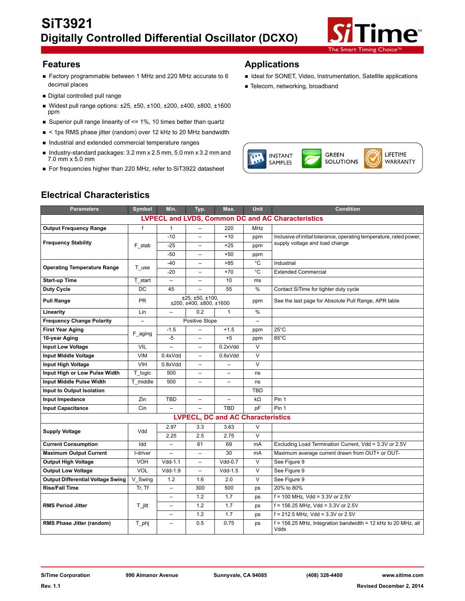

- Factory programmable between 1 MHz and 220 MHz accurate to 6 decimal places
- Digital controlled pull range
- Widest pull range options: ±25, ±50, ±100, ±200, ±400, ±800, ±1600 ppm
- Superior pull range linearity of  $\leq$  1%, 10 times better than quartz
- < 1ps RMS phase jitter (random) over 12 kHz to 20 MHz bandwidth
- Industrial and extended commercial temperature ranges
- Industry-standard packages:  $3.2$  mm x  $2.5$  mm,  $5.0$  mm x  $3.2$  mm and 7.0 mm x 5.0 mm
- For frequencies higher than 220 MHz, refer to SiT3922 datasheet

# **Features Applications**

- I Ideal for SONET, Video, Instrumentation, Satellite applications
- **Telecom, networking, broadband**



# **Electrical Characteristics**

| <b>Parameters</b>                                        | Symbol                   | Min.                     | Typ.                                       | Max.                                     | <b>Unit</b>              | <b>Condition</b>                                                        |  |  |
|----------------------------------------------------------|--------------------------|--------------------------|--------------------------------------------|------------------------------------------|--------------------------|-------------------------------------------------------------------------|--|--|
| <b>LVPECL and LVDS, Common DC and AC Characteristics</b> |                          |                          |                                            |                                          |                          |                                                                         |  |  |
| <b>Output Frequency Range</b>                            | f                        | $\mathbf{1}$             |                                            | 220                                      | <b>MHz</b>               |                                                                         |  |  |
|                                                          |                          | $-10$                    |                                            | $+10$                                    | ppm                      | Inclusive of initial tolerance, operating temperature, rated power,     |  |  |
| <b>Frequency Stability</b>                               | F stab                   | $-25$                    | $\overline{a}$                             | $+25$                                    | ppm                      | supply voltage and load change                                          |  |  |
|                                                          |                          | $-50$                    | $\overline{\phantom{0}}$                   | $+50$                                    | ppm                      |                                                                         |  |  |
| <b>Operating Temperature Range</b>                       | T use                    | $-40$                    | $\overline{\phantom{0}}$                   | $+85$                                    | °C                       | Industrial                                                              |  |  |
|                                                          |                          | $-20$                    |                                            | $+70$                                    | $\overline{C}$           | <b>Extended Commercial</b>                                              |  |  |
| <b>Start-up Time</b>                                     | T start                  | $\qquad \qquad -$        |                                            | 10                                       | ms                       |                                                                         |  |  |
| <b>Duty Cycle</b>                                        | <b>DC</b>                | 45                       |                                            | 55                                       | %                        | Contact SiTime for tighter duty cycle                                   |  |  |
| <b>Pull Range</b>                                        | <b>PR</b>                |                          | ±25, ±50, ±100,<br>±200, ±400, ±800, ±1600 |                                          | ppm                      | See the last page for Absolute Pull Range, APR table                    |  |  |
| Linearity                                                | Lin                      | $\overline{\phantom{0}}$ | 0.2                                        | $\mathbf{1}$                             | %                        |                                                                         |  |  |
| <b>Frequency Change Polarity</b>                         | $\overline{\phantom{0}}$ |                          | Positive Slope                             |                                          | $\overline{\phantom{m}}$ |                                                                         |  |  |
| <b>First Year Aging</b>                                  | F aging                  | $-1.5$                   |                                            | $+1.5$                                   | ppm                      | $25^{\circ}$ C                                                          |  |  |
| 10-year Aging                                            |                          | $-5$                     | $\overline{\phantom{0}}$                   | $+5$                                     | ppm                      | 85°C                                                                    |  |  |
| <b>Input Low Voltage</b>                                 | <b>VIL</b>               |                          | $\overline{\phantom{0}}$                   | 0.2xVdd                                  | $\vee$                   |                                                                         |  |  |
| <b>Input Middle Voltage</b>                              | <b>VIM</b>               | 0.4xVdd                  | $\overline{\phantom{0}}$                   | 0.6xVdd                                  | $\vee$                   |                                                                         |  |  |
| Input High Voltage                                       | <b>VIH</b>               | 0.8xVdd                  |                                            |                                          | $\vee$                   |                                                                         |  |  |
| Input High or Low Pulse Width                            | T logic                  | 500                      | $\overline{\phantom{0}}$                   | $\overline{\phantom{0}}$                 | ns                       |                                                                         |  |  |
| <b>Input Middle Pulse Width</b>                          | T middle                 | 500                      | $\overline{\phantom{0}}$                   | $\overline{\phantom{0}}$                 | ns                       |                                                                         |  |  |
| Input to Output Isolation                                |                          |                          |                                            |                                          | <b>TBD</b>               |                                                                         |  |  |
| Input Impedance                                          | Zin                      | <b>TBD</b>               | $\overline{\phantom{0}}$                   | $\equiv$                                 | $k\Omega$                | Pin 1                                                                   |  |  |
| <b>Input Capacitance</b>                                 | Cin                      | $\overline{\phantom{a}}$ |                                            | <b>TBD</b>                               | pF                       | Pin 1                                                                   |  |  |
|                                                          |                          |                          |                                            | <b>LVPECL, DC and AC Characteristics</b> |                          |                                                                         |  |  |
|                                                          | Vdd                      | 2.97                     | 3.3                                        | 3.63                                     | $\vee$                   |                                                                         |  |  |
| <b>Supply Voltage</b>                                    |                          | 2.25                     | 2.5                                        | 2.75                                     | $\vee$                   |                                                                         |  |  |
| <b>Current Consumption</b>                               | Idd                      | $\overline{\phantom{0}}$ | 61                                         | 69                                       | mA                       | Excluding Load Termination Current, Vdd = 3.3V or 2.5V                  |  |  |
| <b>Maximum Output Current</b>                            | I-driver                 | $\overline{\phantom{0}}$ | $\overline{\phantom{0}}$                   | 30                                       | mA                       | Maximum average current drawn from OUT+ or OUT-                         |  |  |
| <b>Output High Voltage</b>                               | VOH                      | $Vdd-1.1$                | $\overline{\phantom{0}}$                   | $Vdd-0.7$                                | $\vee$                   | See Figure 9                                                            |  |  |
| <b>Output Low Voltage</b>                                | VOL                      | $Vdd-1.9$                | $\overline{\phantom{0}}$                   | $Vdd-1.5$                                | $\vee$                   | See Figure 9                                                            |  |  |
| <b>Output Differential Voltage Swing</b>                 | V Swing                  | 1.2                      | 1.6                                        | 2.0                                      | $\vee$                   | See Figure 9                                                            |  |  |
| <b>Rise/Fall Time</b>                                    | Tr, Tf                   | $\overline{\phantom{0}}$ | 300                                        | 500                                      | ps                       | 20% to 80%                                                              |  |  |
|                                                          |                          | $\overline{\phantom{0}}$ | 1.2                                        | 1.7                                      | ps                       | $f = 100$ MHz, Vdd = 3.3V or 2.5V                                       |  |  |
| <b>RMS Period Jitter</b>                                 | ⊤_jitt                   | $\overline{\phantom{0}}$ | 1.2                                        | 1.7                                      | ps                       | $f = 156.25$ MHz, Vdd = 3.3V or 2.5V                                    |  |  |
|                                                          |                          | $\overline{\phantom{a}}$ | 1.2                                        | 1.7                                      | ps                       | $f = 212.5$ MHz, Vdd = 3.3V or 2.5V                                     |  |  |
| RMS Phase Jitter (random)                                | T_phj                    | $\overline{\phantom{0}}$ | 0.5                                        | 0.75                                     | ps                       | $f = 156.25$ MHz, Integration bandwidth = 12 kHz to 20 MHz, all<br>Vdds |  |  |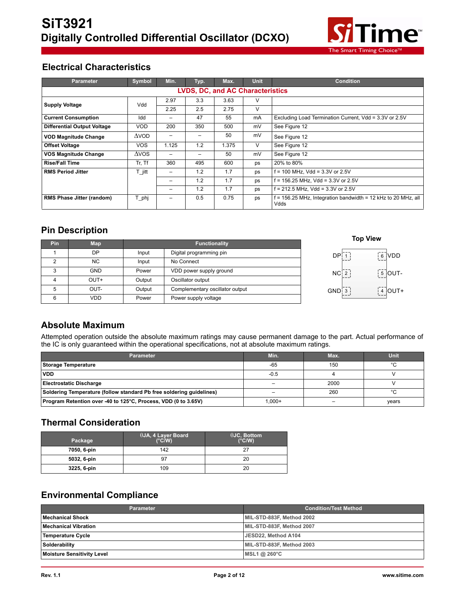

## **Electrical Characteristics**

| <b>Parameter</b>                        | <b>Symbol</b>   | Min.                     | Typ. | Max.  | <b>Unit</b> | <b>Condition</b>                                                        |  |  |  |
|-----------------------------------------|-----------------|--------------------------|------|-------|-------------|-------------------------------------------------------------------------|--|--|--|
| <b>LVDS, DC, and AC Characteristics</b> |                 |                          |      |       |             |                                                                         |  |  |  |
| <b>Supply Voltage</b>                   | Vdd             | 2.97                     | 3.3  | 3.63  | ν           |                                                                         |  |  |  |
|                                         |                 | 2.25                     | 2.5  | 2.75  | V           |                                                                         |  |  |  |
| <b>Current Consumption</b>              | Idd             |                          | 47   | 55    | mA          | Excluding Load Termination Current, Vdd = 3.3V or 2.5V                  |  |  |  |
| <b>Differential Output Voltage</b>      | <b>VOD</b>      | 200                      | 350  | 500   | mV          | See Figure 12                                                           |  |  |  |
| <b>VOD Magnitude Change</b>             | $\triangle$ VOD | -                        |      | 50    | mV          | See Figure 12                                                           |  |  |  |
| <b>Offset Voltage</b>                   | <b>VOS</b>      | 1.125                    | 1.2  | 1.375 | V           | See Figure 12                                                           |  |  |  |
| <b>VOS Magnitude Change</b>             | $\triangle VOS$ |                          |      | 50    | mV          | See Figure 12                                                           |  |  |  |
| <b>Rise/Fall Time</b>                   | Tr, Tf          | 360                      | 495  | 600   | ps          | 20% to 80%                                                              |  |  |  |
| <b>RMS Period Jitter</b>                | T jitt          |                          | 1.2  | 1.7   | ps          | $f = 100$ MHz, Vdd = 3.3V or 2.5V                                       |  |  |  |
|                                         |                 |                          | 1.2  | 1.7   | ps          | $f = 156.25$ MHz, Vdd = 3.3V or 2.5V                                    |  |  |  |
|                                         |                 | -                        | 1.2  | 1.7   | ps          | $f = 212.5$ MHz, Vdd = 3.3V or 2.5V                                     |  |  |  |
| <b>RMS Phase Jitter (random)</b>        | T_phj           | $\overline{\phantom{0}}$ | 0.5  | 0.75  | ps          | $f = 156.25$ MHz, Integration bandwidth = 12 kHz to 20 MHz, all<br>Vdds |  |  |  |

## **Pin Description**

|     |            |        |                                 |                   | <b>Top View</b>                             |
|-----|------------|--------|---------------------------------|-------------------|---------------------------------------------|
| Pin | Map        |        | <b>Functionality</b>            |                   |                                             |
|     | DP         | Input  | Digital programming pin         | DP <sup>1</sup> 1 | $\begin{bmatrix} 6 \\ 8 \end{bmatrix}$ VDD  |
|     | NC.        | Input  | No Connect                      |                   |                                             |
|     | <b>GND</b> | Power  | VDD power supply ground         | NC <sub>1</sub> 2 | $\begin{bmatrix} 5 \\ 2 \end{bmatrix}$ OUT- |
| 4   | OUT+       | Output | Oscillator output               |                   |                                             |
| 5   | OUT-       | Output | Complementary oscillator output | $GND$ 3           | 4  OUT+                                     |
| 6   | VDD.       | Power  | Power supply voltage            |                   |                                             |

## **Absolute Maximum**

Attempted operation outside the absolute maximum ratings may cause permanent damage to the part. Actual performance of the IC is only guaranteed within the operational specifications, not at absolute maximum ratings.

| <b>Parameter</b>                                                     | Min.      | Max. | Unit   |
|----------------------------------------------------------------------|-----------|------|--------|
| Storage Temperature                                                  | $-65$     | 150  | $\sim$ |
| <b>VDD</b>                                                           | $-0.5$    |      |        |
| <b>Electrostatic Discharge</b>                                       |           | 2000 |        |
| Soldering Temperature (follow standard Pb free soldering quidelines) | -         | 260  |        |
| Program Retention over -40 to 125°C, Process, VDD (0 to 3.65V)       | $1.000 +$ |      | years  |

# **Thermal Consideration**

| Package     | $\theta$ JA, 4 Layer Board<br>$(^{\circ}C/W)$ | $\theta$ JC, Bottom<br>$(^{\circ}C/W)$ |
|-------------|-----------------------------------------------|----------------------------------------|
| 7050, 6-pin | 142                                           | 27                                     |
| 5032, 6-pin |                                               | 20                                     |
| 3225, 6-pin | 109                                           | 20                                     |

## **Environmental Compliance**

| Parameter                  | <b>Condition/Test Method</b> |
|----------------------------|------------------------------|
| <b>Mechanical Shock</b>    | MIL-STD-883F, Method 2002    |
| Mechanical Vibration       | MIL-STD-883F, Method 2007    |
| Temperature Cycle          | JESD22, Method A104          |
| Solderability              | MIL-STD-883F, Method 2003    |
| Moisture Sensitivity Level | MSL1 @ 260°C                 |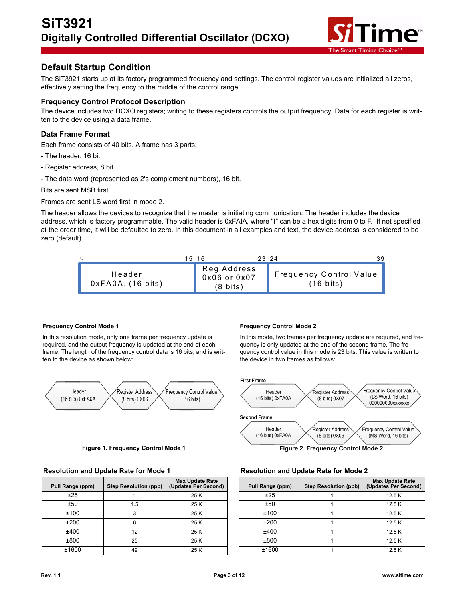

## **Default Startup Condition**

The SiT3921 starts up at its factory programmed frequency and settings. The control register values are initialized all zeros, effectively setting the frequency to the middle of the control range.

#### **Frequency Control Protocol Description**

The device includes two DCXO registers; writing to these registers controls the output frequency. Data for each register is written to the device using a data frame.

### **Data Frame Format**

Each frame consists of 40 bits. A frame has 3 parts:

- The header, 16 bit
- Register address, 8 bit
- The data word (represented as 2's complement numbers), 16 bit.

Bits are sent MSB first.

Frames are sent LS word first in mode 2.

The header allows the devices to recognize that the master is initiating communication. The header includes the device address, which is factory programmable. The valid header is 0xFAIA, where "I" can be a hex digits from 0 to F. If not specified at the order time, it will be defaulted to zero. In this document in all examples and text, the device address is considered to be zero (default).



#### **Frequency Control Mode 1**

In this resolution mode, only one frame per frequency update is required, and the output frequency is updated at the end of each frame. The length of the frequency control data is 16 bits, and is written to the device as shown below:



**Figure 1. Frequency Control Mode 1 Figure 2. Frequency Control Mode 2**

| Pull Range (ppm) | <b>Step Resolution (ppb)</b> | <b>Max Update Rate</b><br>(Updates Per Second) | Pull Range (ppm) | <b>Step Resolution (ppb)</b> | <b>Max Update</b><br>(Updates Per |
|------------------|------------------------------|------------------------------------------------|------------------|------------------------------|-----------------------------------|
| ±25              |                              | 25 K                                           | ±25              |                              | 12.5K                             |
| ±50              | 1.5                          | 25 K                                           | ±50              |                              | 12.5K                             |
| ±100             |                              | 25 K                                           | ±100             |                              | 12.5K                             |
| ±200             |                              | 25 K                                           | ±200             |                              | 12.5K                             |
| ±400             | 12                           | 25 K                                           | ±400             |                              | 12.5K                             |
| ±800             | 25                           | 25 K                                           | ±800             |                              | 12.5K                             |
| ±1600            | 49                           | 25 K                                           | ±1600            |                              | 12.5K                             |

#### **Frequency Control Mode 2**

In this mode, two frames per frequency update are required, and frequency is only updated at the end of the second frame. The frequency control value in this mode is 23 bits. This value is written to the device in two frames as follows:



#### **Resolution and Update Rate for Mode 1 Resolution and Update Rate for Mode 2**

| ınge (ppm) | <b>Step Resolution (ppb)</b> | <b>Max Update Rate</b><br>(Updates Per Second) | Pull Range (ppm) | <b>Step Resolution (ppb)</b> | <b>Max Update Rate</b><br>(Updates Per Second) |
|------------|------------------------------|------------------------------------------------|------------------|------------------------------|------------------------------------------------|
| ±25        |                              | 25 K                                           | ±25              |                              | 12.5K                                          |
| ±50        | 1.5                          | 25 K                                           | ±50              |                              | 12.5K                                          |
| 100ء       |                              | 25 K                                           | ±100             |                              | 12.5K                                          |
| £200       |                              | 25 K                                           | ±200             |                              | 12.5K                                          |
| :400       | 12                           | 25 K                                           | ±400             |                              | 12.5K                                          |
| :800       | 25                           | 25 K                                           | ±800             |                              | 12.5K                                          |
| 1600       | 49                           | 25 K                                           | ±1600            |                              | 12.5K                                          |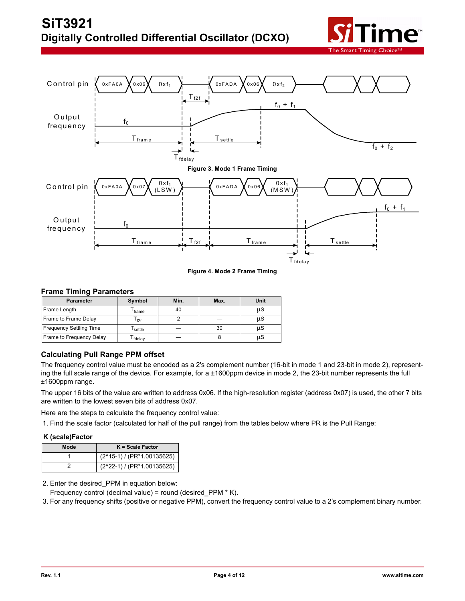



**Figure 4. Mode 2 Frame Timing**

#### **Frame Timing Parameters**

| <b>Parameter</b>               | Symbol             | Min. | Max. | Unit |
|--------------------------------|--------------------|------|------|------|
| Frame Length                   | <sup>I</sup> frame | 40   |      | μS   |
| Frame to Frame Delay           | f <sub>2f</sub>    |      |      | μS   |
| <b>Frequency Settling Time</b> | settle             |      | 30   | μS   |
| Frame to Frequency Delay       | fdelay             |      |      | μS   |

## **Calculating Pull Range PPM offset**

The frequency control value must be encoded as a 2's complement number (16-bit in mode 1 and 23-bit in mode 2), representing the full scale range of the device. For example, for a ±1600ppm device in mode 2, the 23-bit number represents the full ±1600ppm range.

The upper 16 bits of the value are written to address 0x06. If the high-resolution register (address 0x07) is used, the other 7 bits are written to the lowest seven bits of address 0x07.

Here are the steps to calculate the frequency control value:

1. Find the scale factor (calculated for half of the pull range) from the tables below where PR is the Pull Range:

#### **K (scale)Factor**

| Mode | $K = Scale Factor$                   |
|------|--------------------------------------|
|      | $(2^{\wedge}15-1)$ / (PR*1.00135625) |
|      | (2^22-1) / (PR*1.00135625)           |

2. Enter the desired\_PPM in equation below:

Frequency control (decimal value) = round (desired\_PPM \* K).

3. For any frequency shifts (positive or negative PPM), convert the frequency control value to a 2's complement binary number.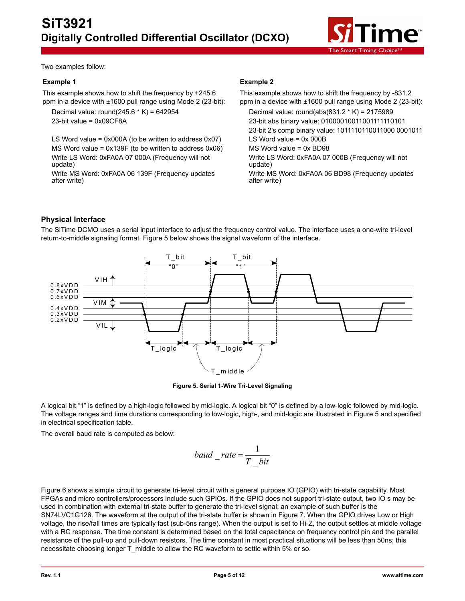

Two examples follow:

#### **Example 1**

This example shows how to shift the frequency by +245.6 ppm in a device with ±1600 pull range using Mode 2 (23-bit):

Decimal value: round(245.6  $*$  K) = 642954 23-bit value = 0x09CF8A

LS Word value =  $0x000A$  (to be written to address  $0x07$ ) MS Word value = 0x139F (to be written to address 0x06) Write LS Word: 0xFA0A 07 000A (Frequency will not update)

Write MS Word: 0xFA0A 06 139F (Frequency updates after write)

## **Example 2**

This example shows how to shift the frequency by -831.2 ppm in a device with ±1600 pull range using Mode 2 (23-bit): Decimal value: round(abs(831.2 \* K) = 2175989 23-bit abs binary value: 01000010011001111110101 23-bit 2's comp binary value: 1011110110011000 0001011 LS Word value  $= 0x 000B$ MS Word value = 0x BD98 Write LS Word: 0xFA0A 07 000B (Frequency will not update) Write MS Word: 0xFA0A 06 BD98 (Frequency updates after write)

## **Physical Interface**

The SiTime DCMO uses a serial input interface to adjust the frequency control value. The interface uses a one-wire tri-level return-to-middle signaling format. Figure 5 below shows the signal waveform of the interface.



**Figure 5. Serial 1-Wire Tri-Level Signaling**

A logical bit "1" is defined by a high-logic followed by mid-logic. A logical bit "0" is defined by a low-logic followed by mid-logic. The voltage ranges and time durations corresponding to low-logic, high-, and mid-logic are illustrated in Figure 5 and specified in electrical specification table.

The overall baud rate is computed as below:

$$
baud\_rate = \frac{1}{T\_bit}
$$

Figure 6 shows a simple circuit to generate tri-level circuit with a general purpose IO (GPIO) with tri-state capability. Most FPGAs and micro controllers/processors include such GPIOs. If the GPIO does not support tri-state output, two IO s may be used in combination with external tri-state buffer to generate the tri-level signal; an example of such buffer is the SN74LVC1G126. The waveform at the output of the tri-state buffer is shown in Figure 7. When the GPIO drives Low or High voltage, the rise/fall times are typically fast (sub-5ns range). When the output is set to Hi-Z, the output settles at middle voltage with a RC response. The time constant is determined based on the total capacitance on frequency control pin and the parallel resistance of the pull-up and pull-down resistors. The time constant in most practical situations will be less than 50ns; this necessitate choosing longer T\_middle to allow the RC waveform to settle within 5% or so.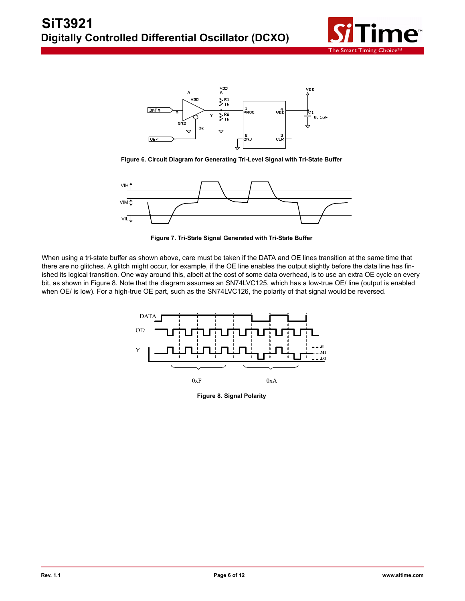



**Figure 6. Circuit Diagram for Generating Tri-Level Signal with Tri-State Buffer**



**Figure 7. Tri-State Signal Generated with Tri-State Buffer**

When using a tri-state buffer as shown above, care must be taken if the DATA and OE lines transition at the same time that there are no glitches. A glitch might occur, for example, if the OE line enables the output slightly before the data line has finished its logical transition. One way around this, albeit at the cost of some data overhead, is to use an extra OE cycle on every bit, as shown in Figure 8. Note that the diagram assumes an SN74LVC125, which has a low-true OE/ line (output is enabled when OE/ is low). For a high-true OE part, such as the SN74LVC126, the polarity of that signal would be reversed.



**Figure 8. Signal Polarity**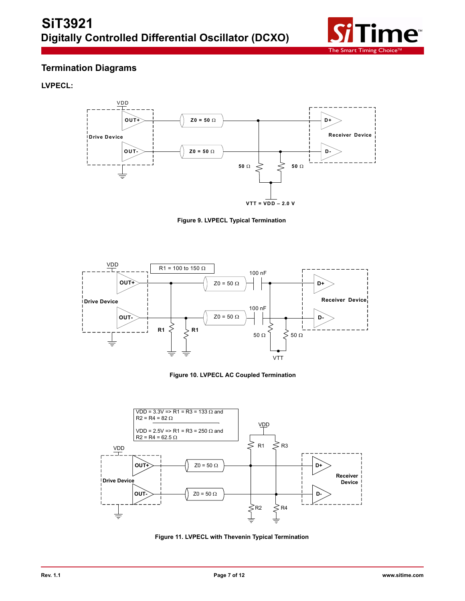

# **Termination Diagrams**

**LVPECL:**



**Figure 9. LVPECL Typical Termination**







**Figure 11. LVPECL with Thevenin Typical Termination**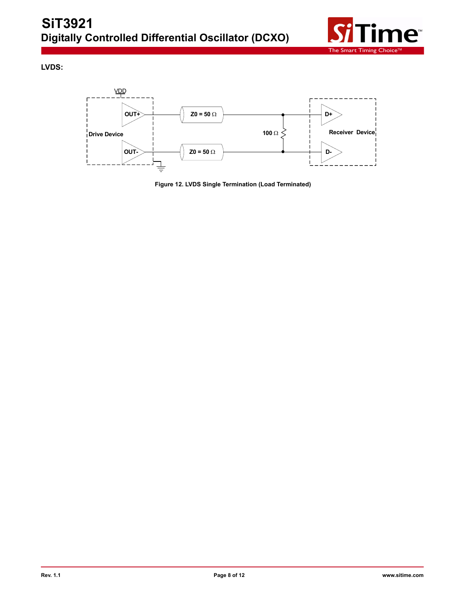

**LVDS:**



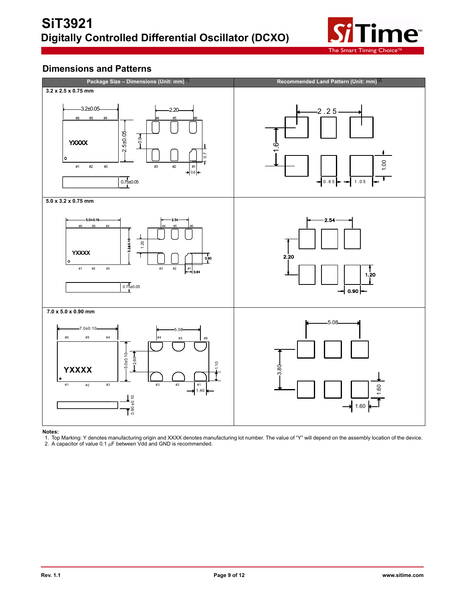

## **Dimensions and Patterns**



#### **Notes:**

1. Top Marking: Y denotes manufacturing origin and XXXX denotes manufacturing lot number. The value of "Y" will depend on the assembly location of the device.<br>2. A capacitor of value 0.1 μF between Vdd and GND is recommen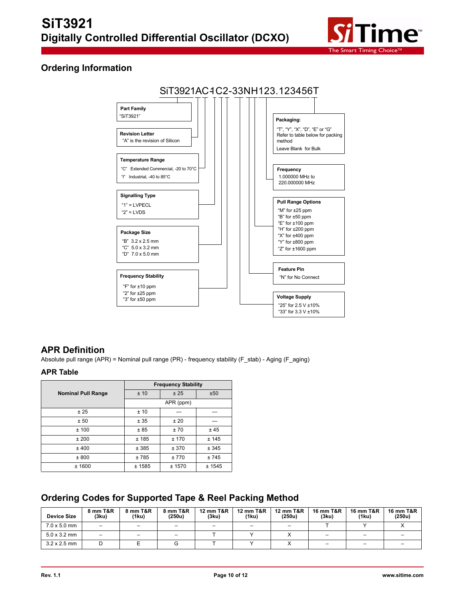

## **Ordering Information**



## **APR Definition**

Absolute pull range (APR) = Nominal pull range (PR) - frequency stability (F\_stab) - Aging (F\_aging)

## **APR Table**

|                           | <b>Frequency Stability</b> |           |        |  |  |  |  |
|---------------------------|----------------------------|-----------|--------|--|--|--|--|
| <b>Nominal Pull Range</b> | ±10                        | ±25       | ±50    |  |  |  |  |
|                           |                            | APR (ppm) |        |  |  |  |  |
| ±25                       | ±10                        |           |        |  |  |  |  |
| ± 50                      | ± 35                       | ±20       |        |  |  |  |  |
| ±100                      | ±85                        | ±70       | ±45    |  |  |  |  |
| ±200                      | ±185                       | ± 170     | ± 145  |  |  |  |  |
| ±400                      | ± 385                      | ± 370     | ± 345  |  |  |  |  |
| ± 800                     | ±785                       | ±770      | ±745   |  |  |  |  |
| ± 1600                    | ± 1585                     | ± 1570    | ± 1545 |  |  |  |  |

# **Ordering Codes for Supported Tape & Reel Packing Method**

| <b>Device Size</b>  | 8 mm T&R<br>(3ku)        | 8 mm T&R<br>(1ku) | 8 mm T&R<br>(250u)       | <b>12 mm T&amp;R</b><br>(3ku) | <b>12 mm T&amp;R</b><br>(1ku) | 12 mm T&R<br>(250u)      | <b>16 mm T&amp;R</b><br>(3ku) | 16 mm T&R<br>(1ku)       | 16 mm T&R<br>(250u) |
|---------------------|--------------------------|-------------------|--------------------------|-------------------------------|-------------------------------|--------------------------|-------------------------------|--------------------------|---------------------|
| $7.0 \times 5.0$ mm | $\overline{\phantom{m}}$ | -                 | $\overline{\phantom{0}}$ |                               |                               | $\overline{\phantom{0}}$ |                               |                          |                     |
| $5.0 \times 3.2$ mm |                          |                   | $\overline{\phantom{0}}$ |                               |                               |                          |                               | -                        |                     |
| $3.2 \times 2.5$ mm |                          |                   |                          |                               |                               |                          | -                             | $\overline{\phantom{0}}$ |                     |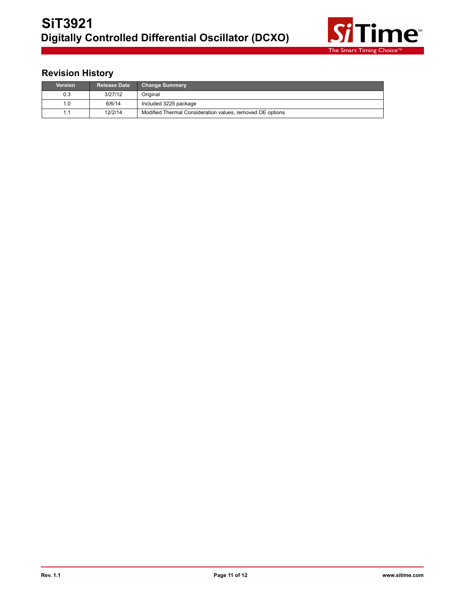

# **Revision History**

| <b>Version</b> | <b>Release Date</b> | <b>Change Summary</b>                                     |
|----------------|---------------------|-----------------------------------------------------------|
| 0.3            | 3/27/12             | Original                                                  |
| 0. ا           | 6/6/14              | Included 3225 package                                     |
|                | 12/2/14             | Modified Thermal Consideration values, removed OE options |